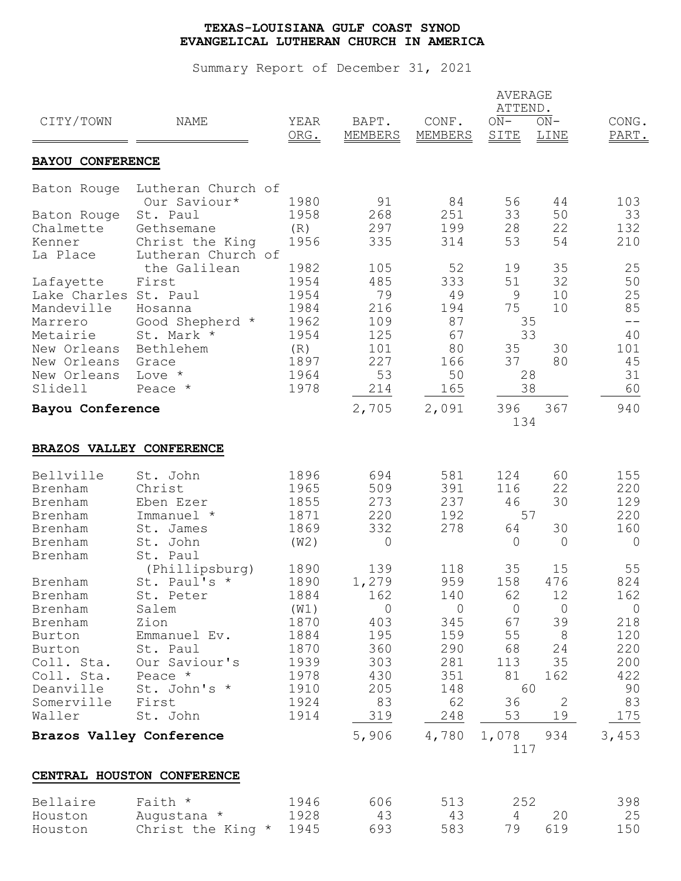|                          |                            |              |                  |                  | <b>AVERAGE</b><br>ATTEND. |                |                |
|--------------------------|----------------------------|--------------|------------------|------------------|---------------------------|----------------|----------------|
| CITY/TOWN                | NAME                       | YEAR<br>ORG. | BAPT.<br>MEMBERS | CONF.<br>MEMBERS | $ON-$<br>SITE             | $ON-$<br>LINE  | CONG.<br>PART. |
| <b>BAYOU CONFERENCE</b>  |                            |              |                  |                  |                           |                |                |
| Baton Rouge              | Lutheran Church of         |              |                  |                  |                           |                |                |
|                          | Our Saviour*               | 1980         | 91               | 84               | 56                        | 44             | 103            |
| Baton Rouge              | St. Paul                   | 1958         | 268              | 251              | 33                        | 50             | 33             |
| Chalmette                | Gethsemane                 | (R)          | 297              | 199              | 28                        | 22             | 132            |
| Kenner                   | Christ the King            | 1956         | 335              | 314              | 53                        | 54             | 210            |
| La Place                 | Lutheran Church of         |              |                  |                  |                           |                |                |
|                          | the Galilean               | 1982         | 105              | 52               | 19                        | 35             | 25             |
| Lafayette                | First                      | 1954         | 485              | 333              | 51                        | 32             | 50             |
| Lake Charles St. Paul    |                            | 1954         | 79               | 49               | 9                         | 10             | 25             |
| Mandeville               | Hosanna                    | 1984         | 216              | 194              | 75                        | 10             | 85<br>$ -$     |
| Marrero                  | Good Shepherd *            | 1962         | 109              | 87               |                           | 35<br>33       |                |
| Metairie<br>New Orleans  | St. Mark *                 | 1954         | 125              | 67               |                           | 30             | 40<br>101      |
| New Orleans              | Bethlehem                  | (R)<br>1897  | 101<br>227       | 80<br>166        | 35<br>37                  | 80             | 45             |
| New Orleans              | Grace<br>Love *            | 1964         | 53               | 50               |                           | 28             | 31             |
| Slidell                  | Peace *                    | 1978         | 214              | 165              |                           | 38             | 60             |
| Bayou Conference         |                            |              | 2,705            | 2,091            | 396                       | 367            | 940            |
|                          |                            |              |                  |                  | 134                       |                |                |
| BRAZOS VALLEY CONFERENCE |                            |              |                  |                  |                           |                |                |
| Bellville                | St. John                   | 1896         | 694              | 581              | 124                       | 60             | 155            |
| Brenham                  | Christ                     | 1965         | 509              | 391              | 116                       | 22             | 220            |
| Brenham                  | Eben Ezer                  | 1855         | 273              | 237              | 46                        | 30             | 129            |
| Brenham                  | Immanuel *                 | 1871         | 220              | 192              |                           | 57             | 220            |
| Brenham                  | St. James                  | 1869         | 332              | 278              | 64                        | 30             | 160            |
| Brenham                  | St. John                   | (W2)         | 0                |                  | $\overline{0}$            | $\circ$        | $\circ$        |
| Brenham                  | St. Paul                   |              |                  |                  |                           |                |                |
|                          | (Phillipsburg)             | 1890         | 139              | 118              | 35                        | 15             | 55             |
| Brenham                  | St. Paul's *               | 1890         | 1,279            | 959              | 158                       | 476            | 824            |
| Brenham                  | St. Peter                  | 1884         | 162              | 140              | 62                        | 12             | 162            |
| Brenham                  | Salem                      | (W1)         | $\circ$          | $\overline{0}$   | $\overline{0}$            | $\overline{0}$ | $\overline{0}$ |
| Brenham                  | Zion                       | 1870         | 403              | 345              | 67                        | 39             | 218            |
| Burton                   | Emmanuel Ev.               | 1884         | 195              | 159              | 55                        | 8              | 120            |
| Burton                   | St. Paul                   | 1870         | 360              | 290              | 68                        | 24             | 220            |
| Coll. Sta.               | Our Saviour's              | 1939         | 303              | 281              | 113                       | 35             | 200            |
| Coll. Sta.               | Peace *                    | 1978         | 430              | 351              | 81                        | 162            | 422            |
| Deanville                | St. John's *               | 1910         | 205              | 148              |                           | 60             | 90             |
| Somerville               | First                      | 1924         | 83               | 62               | 36                        | $\overline{2}$ | 83             |
| Waller                   | St. John                   | 1914         | 319              | 248              | 53                        | 19             | 175            |
| Brazos Valley Conference |                            |              | 5,906            | 4,780            | 1,078                     | 934            | 3,453          |
|                          |                            |              |                  |                  | 117                       |                |                |
|                          | CENTRAL HOUSTON CONFERENCE |              |                  |                  |                           |                |                |
| Bellaire                 | Faith *                    | 1946         | 606              | 513              | 252                       |                | 398            |
| Houston                  | Augustana *                | 1928         | 43               | 43               | 4                         | 20             | 25             |
| Houston                  | Christ the King *          | 1945         | 693              | 583              | 79                        | 619            | 150            |
|                          |                            |              |                  |                  |                           |                |                |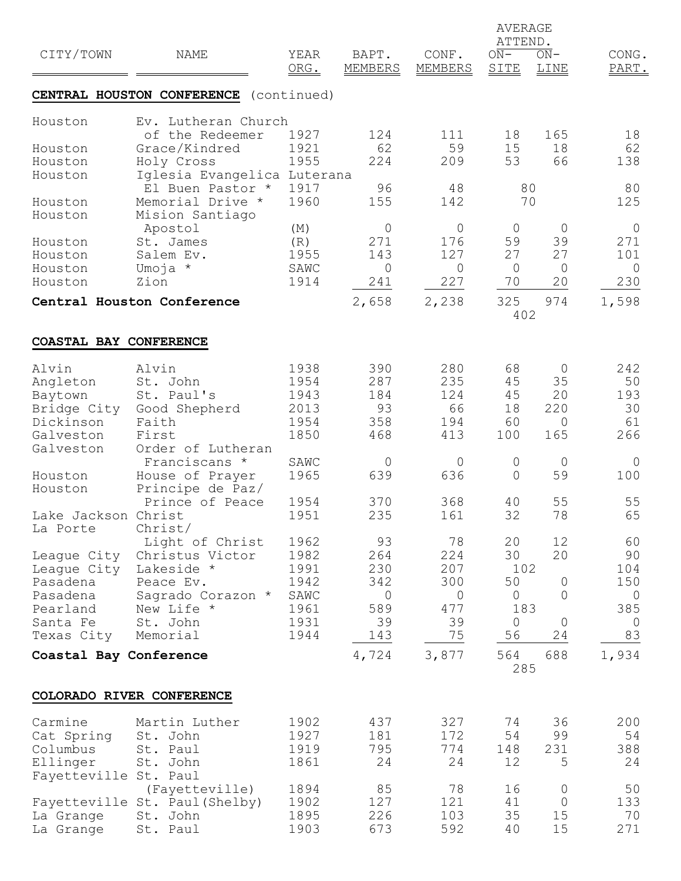|                        |                                        | <b>AVERAGE</b><br>ATTEND. |                         |                         |                |                |                |  |
|------------------------|----------------------------------------|---------------------------|-------------------------|-------------------------|----------------|----------------|----------------|--|
| CITY/TOWN              | NAME                                   | YEAR<br>ORG.              | BAPT.<br><b>MEMBERS</b> | CONF.<br><b>MEMBERS</b> | $ON-$<br>SITE  | $ON-$<br>LINE  | CONG.<br>PART. |  |
|                        | CENTRAL HOUSTON CONFERENCE             | (continued)               |                         |                         |                |                |                |  |
| Houston                | Ev. Lutheran Church<br>of the Redeemer | 1927                      | 124                     | 111                     | 18             | 165            | 18             |  |
| Houston                | Grace/Kindred                          | 1921                      | 62                      | 59                      | 15             | 18             | 62             |  |
| Houston                | Holy Cross                             | 1955                      | 224                     | 209                     | 53             | 66             | 138            |  |
| Houston                | Iglesia Evangelica Luterana            |                           |                         |                         |                |                |                |  |
|                        | El Buen Pastor *                       | 1917                      | 96                      | 48                      | 80             |                | 80             |  |
| Houston                | Memorial Drive *                       | 1960                      | 155                     | 142                     | 70             |                | 125            |  |
| Houston                | Mision Santiago                        |                           |                         |                         |                |                |                |  |
|                        | Apostol                                | (M)                       | 0                       | $\mathsf{O}$            | $\circ$        | $\overline{0}$ | $\circ$        |  |
| Houston                | St. James                              | (R)                       | 271                     | 176                     | 59             | 39             | 271            |  |
| Houston                | Salem Ev.                              | 1955                      | 143                     | 127                     | 27             | 27             | 101            |  |
| Houston                | Umoja *                                | SAWC                      | $\mathsf{O}$            | $\overline{0}$          | $\circ$        | $\circ$        | $\overline{0}$ |  |
| Houston                | Zion                                   | 1914                      | 241                     | 227                     | 70             | 20             | 230            |  |
|                        | Central Houston Conference             |                           | 2,658                   | 2,238                   | 325            | 974            | 1,598          |  |
|                        |                                        |                           |                         |                         | 402            |                |                |  |
| COASTAL BAY CONFERENCE |                                        |                           |                         |                         |                |                |                |  |
| Alvin                  | Alvin                                  | 1938                      | 390                     | 280                     | 68             | $\overline{0}$ | 242            |  |
| Angleton               | St. John                               | 1954                      | 287                     | 235                     | 45             | 35             | 50             |  |
| Baytown                | St. Paul's                             | 1943                      | 184                     | 124                     | 45             | 20             | 193            |  |
| Bridge City            | Good Shepherd                          | 2013                      | 93                      | 66                      | 18             | 220            | 30             |  |
| Dickinson              | Faith                                  | 1954                      | 358                     | 194                     | 60             | $\overline{0}$ | 61             |  |
| Galveston              | First                                  | 1850                      | 468                     | 413                     | 100            | 165            | 266            |  |
| Galveston              | Order of Lutheran                      |                           |                         |                         |                |                |                |  |
|                        | Franciscans *                          | SAWC                      | $\mathsf{O}$            | $\mathbb O$             | $\overline{0}$ | $\overline{0}$ | $\circ$        |  |
| Houston                | House of Prayer                        | 1965                      | 639                     | 636                     | $\overline{0}$ | 59             | 100            |  |
| Houston                | Principe de Paz/                       |                           |                         |                         |                |                |                |  |
|                        | Prince of Peace                        | 1954                      | 370                     | 368                     | 40             | 55             | 55             |  |
| Lake Jackson Christ    |                                        | 1951                      | 235                     | 161                     | 32             | 78             | 65             |  |
| La Porte               | Christ/<br>Light of Christ             | 1962                      | 93                      | 78                      | 20             | 12             | 60             |  |
| League City            | Christus Victor                        | 1982                      | 264                     | 224                     | 30             | 20             | 90             |  |
| League City            | Lakeside *                             | 1991                      | 230                     | 207                     | 102            |                | 104            |  |
| Pasadena               | Peace Ev.                              | 1942                      | 342                     | 300                     | 50             | 0              | 150            |  |
| Pasadena               | Sagrado Corazon *                      | SAWC                      | $\overline{0}$          | $\overline{0}$          | $\overline{0}$ | $\overline{0}$ | $\mathbf 0$    |  |
| Pearland               | New Life *                             | 1961                      | 589                     | 477                     | 183            |                | 385            |  |
| Santa Fe               | St. John                               | 1931                      | 39                      | 39                      | $\circ$        | $\mathbf 0$    | $\mathbf 0$    |  |
| Texas City             | Memorial                               | 1944                      | 143                     | 75                      | 56             | 24             | 83             |  |
| Coastal Bay Conference |                                        |                           | 4,724                   | 3,877                   | 564            | 688            | 1,934          |  |
|                        |                                        |                           |                         |                         | 285            |                |                |  |
|                        | COLORADO RIVER CONFERENCE              |                           |                         |                         |                |                |                |  |
| Carmine                | Martin Luther                          | 1902                      | 437                     | 327                     | 74             | 36             | 200            |  |
| Cat Spring             | St. John                               | 1927                      | 181                     | 172                     | 54             | 99             | 54             |  |
| Columbus               | St. Paul                               | 1919                      | 795                     | 774                     | 148            | 231            | 388            |  |
| Ellinger               | St. John                               | 1861                      | 24                      | 24                      | 12             | 5              | 24             |  |
| Fayetteville St. Paul  |                                        |                           |                         |                         |                |                |                |  |
|                        | (Fayetteville)                         | 1894                      | 85                      | 78                      | 16             | $\circ$        | 50             |  |
|                        | Fayetteville St. Paul (Shelby)         | 1902                      | 127                     | 121                     | 41             | $\overline{0}$ | 133            |  |
| La Grange              | St. John                               | 1895                      | 226                     | 103                     | 35             | 15             | 70             |  |
| La Grange              | St. Paul                               | 1903                      | 673                     | 592                     | 40             | 15             | 271            |  |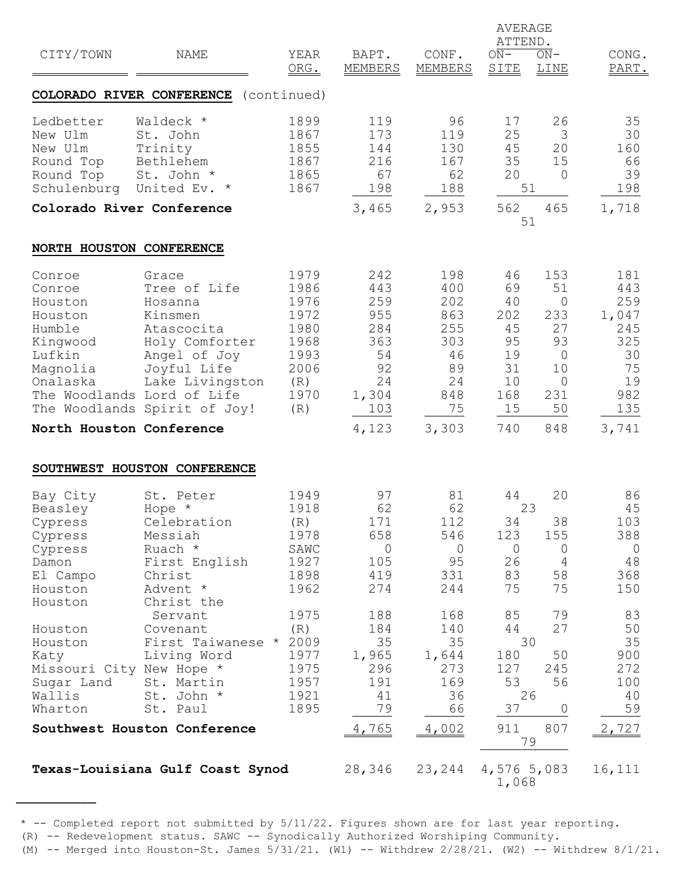|                                                                                                                            |                                                                                                                                                                                             |                                                                                    |                                                                                   |                                                                                | AVERAGE<br>ATTEND.                                                      |                                                                                                              |                                                                                   |
|----------------------------------------------------------------------------------------------------------------------------|---------------------------------------------------------------------------------------------------------------------------------------------------------------------------------------------|------------------------------------------------------------------------------------|-----------------------------------------------------------------------------------|--------------------------------------------------------------------------------|-------------------------------------------------------------------------|--------------------------------------------------------------------------------------------------------------|-----------------------------------------------------------------------------------|
| CITY/TOWN                                                                                                                  | NAME                                                                                                                                                                                        | YEAR<br>ORG.                                                                       | BAPT.<br><b>MEMBERS</b>                                                           | CONF.<br><b>MEMBERS</b>                                                        | $ON-$<br>SITE                                                           | $ON-$<br><b>LINE</b>                                                                                         | CONG.<br>PART.                                                                    |
|                                                                                                                            | COLORADO RIVER CONFERENCE (continued)                                                                                                                                                       |                                                                                    |                                                                                   |                                                                                |                                                                         |                                                                                                              |                                                                                   |
| Ledbetter<br>New Ulm<br>New Ulm<br>Round Top<br>Round Top<br>Schulenburg United Ev. *                                      | Waldeck *<br>St. John<br>Trinity<br>Bethlehem<br>St. John *                                                                                                                                 | 1899<br>1867<br>1855<br>1867<br>1865<br>1867                                       | 119<br>173<br>144<br>216<br>67<br>198                                             | 96<br>119<br>130<br>167<br>62<br>188                                           | 17<br>25<br>45<br>35<br>20                                              | 26<br>3<br>20<br>15<br>$\overline{0}$<br>51                                                                  | 35<br>30<br>160<br>66<br>39<br>198                                                |
| Colorado River Conference                                                                                                  |                                                                                                                                                                                             |                                                                                    | 3,465                                                                             | 2,953                                                                          | 562                                                                     | 465<br>51                                                                                                    | 1,718                                                                             |
| NORTH HOUSTON CONFERENCE                                                                                                   |                                                                                                                                                                                             |                                                                                    |                                                                                   |                                                                                |                                                                         |                                                                                                              |                                                                                   |
| Conroe<br>Conroe<br>Houston<br>Houston<br>Humble<br>Kingwood<br>Lufkin<br>Magnolia<br>Onalaska<br>North Houston Conference | Grace<br>Tree of Life<br>Hosanna<br>Kinsmen<br>Atascocita<br>Holy Comforter<br>Angel of Joy<br>Joyful Life<br>Lake Livingston<br>The Woodlands Lord of Life<br>The Woodlands Spirit of Joy! | 1979<br>1986<br>1976<br>1972<br>1980<br>1968<br>1993<br>2006<br>(R)<br>1970<br>(R) | 242<br>443<br>259<br>955<br>284<br>363<br>54<br>92<br>24<br>1,304<br>103<br>4,123 | 198<br>400<br>202<br>863<br>255<br>303<br>46<br>89<br>24<br>848<br>75<br>3,303 | 46<br>69<br>40<br>202<br>45<br>95<br>19<br>31<br>10<br>168<br>15<br>740 | 153<br>51<br>$\overline{0}$<br>233<br>27<br>93<br>$\overline{0}$<br>10<br>$\overline{0}$<br>231<br>50<br>848 | 181<br>443<br>259<br>1,047<br>245<br>325<br>30<br>75<br>19<br>982<br>135<br>3,741 |
|                                                                                                                            |                                                                                                                                                                                             |                                                                                    |                                                                                   |                                                                                |                                                                         |                                                                                                              |                                                                                   |
| Bay City<br>Beasley<br>Cypress<br>Cypress<br>Cypress<br>Damon<br>El Campo<br>Houston<br>Houston                            | SOUTHWEST HOUSTON CONFERENCE<br>St. Peter<br>Hope *<br>Celebration<br>Messiah<br>Ruach *<br>First English<br>Christ<br>Advent *<br>Christ the                                               | 1949<br>1918<br>(R)<br>1978<br>SAWC<br>1927<br>1898<br>1962                        | 97<br>62<br>171<br>658<br>$\circ$<br>105<br>419<br>274                            | 81<br>62<br>112<br>546<br>$\overline{0}$<br>95<br>331<br>244                   | 44<br>34<br>123<br>$\circ$<br>26<br>83<br>75                            | 20<br>23<br>38<br>155<br>$\circ$<br>4<br>58<br>75                                                            | 86<br>45<br>103<br>388<br>$\circ$<br>48<br>368<br>150                             |
| Houston<br>Houston<br>Katy<br>Missouri City New Hope *<br>Sugar Land<br>Wallis<br>Wharton                                  | Servant<br>Covenant<br>First Taiwanese * 2009<br>Living Word<br>St. Martin<br>St. John *<br>St. Paul                                                                                        | 1975<br>(R)<br>1977<br>1975<br>1957<br>1921<br>1895                                | 188<br>184<br>35<br>1,965<br>296<br>191<br>41<br>79                               | 168<br>140<br>35<br>1,644<br>273<br>169<br>36<br>66                            | 85<br>44<br>180<br>127<br>53<br>37                                      | 79<br>27<br>30<br>50<br>245<br>56<br>26<br>0                                                                 | 83<br>50<br>35<br>900<br>272<br>100<br>40<br>59                                   |
|                                                                                                                            | Southwest Houston Conference                                                                                                                                                                |                                                                                    | 4,765                                                                             | 4,002                                                                          | 911                                                                     | 807<br>79                                                                                                    | 2,727                                                                             |
|                                                                                                                            | Texas-Louisiana Gulf Coast Synod                                                                                                                                                            |                                                                                    | 28,346                                                                            | 23, 244                                                                        | 4,576 5,083<br>1,068                                                    |                                                                                                              | 16,111                                                                            |

(R) -- Redevelopment status. SAWC -- Synodically Authorized Worshiping Community.

<sup>(</sup>M)  $--$  Merged into Houston-St. James  $5/31/21$ . (W1)  $--$  Withdrew  $2/28/21$ . (W2)  $--$  Withdrew  $8/1/21$ .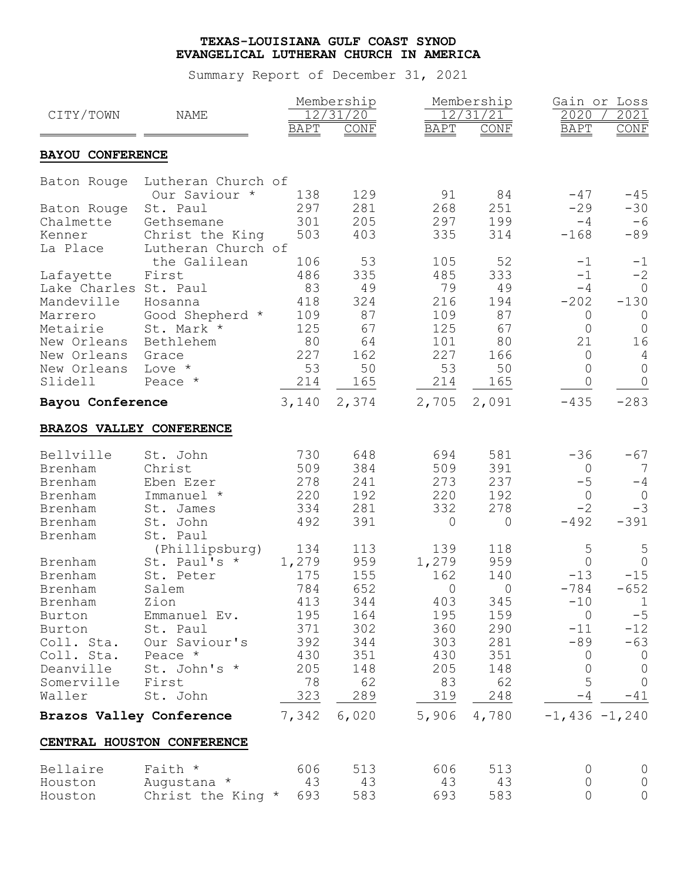| CITY/TOWN                | <b>NAME</b>                |             | Membership<br>12/31/20 |                | Membership<br>12/31/21 | Gain or Loss<br>2020 | 2021                     |
|--------------------------|----------------------------|-------------|------------------------|----------------|------------------------|----------------------|--------------------------|
|                          |                            | <b>BAPT</b> | CONF                   | <b>BAPT</b>    | CONF                   | <b>BAPT</b>          | $\overline{\text{CONF}}$ |
| <b>BAYOU CONFERENCE</b>  |                            |             |                        |                |                        |                      |                          |
| Baton Rouge              | Lutheran Church of         |             |                        |                |                        |                      |                          |
|                          | Our Saviour *              | 138         | 129                    | 91             | 84                     | $-47$                | $-45$                    |
| Baton Rouge              | St. Paul                   | 297         | 281                    | 268            | 251                    | $-29$                | $-30$                    |
| Chalmette                | Gethsemane                 | 301         | 205                    | 297            | 199                    | $-4$                 | $-6$                     |
| Kenner                   | Christ the King            | 503         | 403                    | 335            | 314                    | $-168$               | $-89$                    |
| La Place                 | Lutheran Church of         |             |                        |                |                        |                      |                          |
|                          | the Galilean               | 106         | 53                     | 105            | 52                     | $-1$                 | $-1$                     |
| Lafayette                | First                      | 486         | 335                    | 485            | 333                    | $-1$                 | $-2$                     |
| Lake Charles St. Paul    |                            | 83          | 49                     | 79             | 49                     | $-4$                 | $\circ$                  |
| Mandeville               | Hosanna                    | 418         | 324                    | 216            | 194                    | $-202$               | $-130$                   |
| Marrero                  | Good Shepherd *            | 109         | 87                     | 109            | 87                     | 0                    | $\circ$                  |
| Metairie                 | St. Mark *                 | 125         | 67                     | 125            | 67                     | $\Omega$             | $\overline{0}$           |
| New Orleans              | Bethlehem                  | 80          | 64                     | 101            | 80                     | 21                   | 16                       |
| New Orleans              | Grace                      | 227         | 162                    | 227            | 166                    | 0                    |                          |
| New Orleans              | Love *                     | 53          | 50                     | 53             | 50                     | 0                    | $\overline{0}$           |
| Slidell                  | Peace *                    | 214         | 165                    | 214            | 165                    | 0                    |                          |
| Bayou Conference         |                            | 3,140       | 2,374                  | 2,705          | 2,091                  | $-435$               | $-283$                   |
| BRAZOS VALLEY CONFERENCE |                            |             |                        |                |                        |                      |                          |
|                          |                            |             |                        |                |                        |                      |                          |
| Bellville                | St. John                   | 730         | 648                    | 694            | 581                    | $-36$                | $-67$                    |
| Brenham                  | Christ                     | 509         | 384                    | 509            | 391                    | 0                    | 7                        |
| Brenham                  | Eben Ezer                  | 278         | 241                    | 273            | 237                    | $-5$                 | $-4$                     |
| Brenham                  | Immanuel *                 | 220         | 192                    | 220            | 192                    | $\overline{0}$       | $\overline{0}$           |
| Brenham                  | St. James                  | 334         | 281                    | 332            | 278                    | $-2$                 | $-3$                     |
| Brenham                  | St. John                   | 492         | 391                    | $\Omega$       | $\Omega$               | $-492$               | $-391$                   |
| Brenham                  | St. Paul                   |             |                        |                |                        |                      |                          |
|                          | (Phillipsburg)             | 134         | 113                    | 139            | 118                    | 5                    |                          |
| Brenham                  | St. Paul's *               | 1,279       | 959                    | 1,279          | 959                    | $\Omega$             | $\circ$                  |
| Brenham                  | St. Peter                  | 175         | 155                    | 162            | 140                    | $-13$                | $-15$                    |
| Brenham                  | Salem                      | 784         | 652                    | $\overline{0}$ | $\overline{0}$         | $-784$               | $-652$                   |
| Brenham                  | Zion                       | 413         | 344                    | 403            | 345                    | $-10$                | $\mathbf{1}$             |
| Burton                   | Emmanuel Ev.               | 195         | 164                    | 195            | 159                    | $\overline{0}$       | $-5$                     |
| Burton                   | St. Paul                   | 371         | 302                    | 360            | 290                    | $-11$                | $-12$                    |
| Coll. Sta.               | Our Saviour's              | 392         | 344                    | 303            | 281                    | -89                  | $-63$                    |
| Coll. Sta.               | Peace *                    | 430         | 351                    | 430            | 351                    | $\overline{0}$       | $\overline{0}$           |
| Deanville                | St. John's *               | 205         | 148                    | 205            | 148                    | $\circ$              | $\circ$                  |
| Somerville               | First                      | 78          | 62                     | 83             | 62                     | 5                    | $\overline{0}$           |
| Waller                   | St. John                   | 323         | 289                    | 319            | 248                    | $-4$                 | $-41$                    |
|                          | Brazos Valley Conference   | 7,342       | 6,020                  |                | 5,906 4,780            | $-1,436 -1,240$      |                          |
|                          | CENTRAL HOUSTON CONFERENCE |             |                        |                |                        |                      |                          |
| Bellaire                 | Faith *                    | 606         | 513                    | 606            | 513                    | 0                    | $\circ$                  |
| Houston                  | Augustana *                | 43          | 43                     | 43             | 43                     | 0                    |                          |
|                          |                            |             |                        | 693            |                        | $\circ$              |                          |
| Houston                  | Christ the King * 693      |             | 583                    |                | 583                    |                      |                          |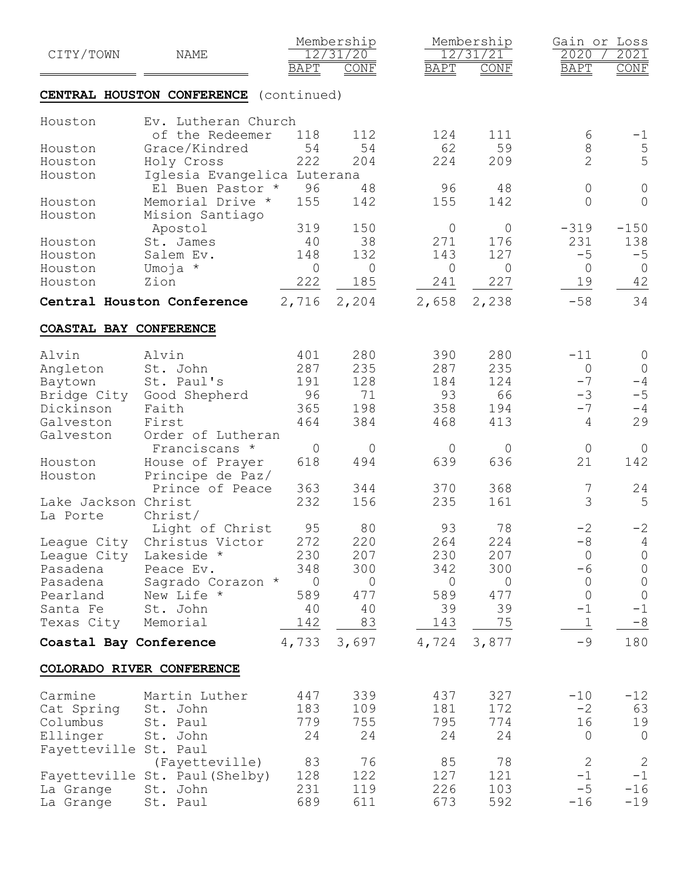| CITY/TOWN              | NAME                           |                            | Membership<br>12/31/20 |             | Membership<br>12/31/21 | Gain or Loss<br>2020      | 2021                   |
|------------------------|--------------------------------|----------------------------|------------------------|-------------|------------------------|---------------------------|------------------------|
|                        | CENTRAL HOUSTON CONFERENCE     | <b>BAPT</b><br>(continued) | <b>CONF</b>            | <b>BAPT</b> | CONF                   | <b>BAPT</b>               | CONF                   |
| Houston                | Ev. Lutheran Church            |                            |                        |             |                        |                           |                        |
|                        | of the Redeemer                | 118                        | 112                    | 124         | 111                    | 6                         | $-1$                   |
| Houston                | Grace/Kindred                  | 54                         | 54                     | 62          | 59                     | $\,8\,$                   | $\overline{5}$         |
| Houston                | Holy Cross                     | 222                        | 204                    | 224         | 209                    | $\overline{2}$            | 5                      |
| Houston                | Iglesia Evangelica Luterana    |                            |                        |             |                        |                           |                        |
|                        | El Buen Pastor *               | 96                         | 48                     | 96          | 48                     | $\circ$                   | $\mathbb O$            |
| Houston                | Memorial Drive *               | 155                        | 142                    | 155         | 142                    | 0                         | $\circ$                |
| Houston                | Mision Santiago                |                            |                        |             |                        |                           |                        |
|                        | Apostol                        | 319                        | 150                    | $\circ$     | 0                      | $-319$                    | $-150$                 |
| Houston                | St. James                      | 40                         | 38                     | 271         | 176                    | 231                       | 138                    |
| Houston                | Salem Ev.                      | 148                        | 132                    | 143         | 127                    | $-5$                      | $-5$                   |
| Houston                | Umoja *                        | $\overline{0}$             | 0                      | $\sqrt{a}$  | $\circ$                | $\circ$                   | $\overline{0}$         |
| Houston                | Zion                           | 222                        | 185                    | 241         | 227                    | 19                        | 42                     |
|                        | Central Houston Conference     | 2,716                      | 2,204                  | 2,658       | 2,238                  | $-58$                     | 34                     |
|                        |                                |                            |                        |             |                        |                           |                        |
| COASTAL BAY CONFERENCE |                                |                            |                        |             |                        |                           |                        |
| Alvin                  | Alvin                          | 401                        | 280                    | 390         | 280                    | $-11$                     | $\overline{0}$         |
| Angleton               | St. John                       | 287                        | 235                    | 287         | 235                    | $\circ$                   | $\overline{0}$         |
| Baytown                | St. Paul's                     | 191                        | 128                    | 184         | 124                    | $-7$                      | $-4$                   |
| Bridge City            | Good Shepherd                  | 96                         | 71                     | 93          | 66                     | $-3$                      | $-5$                   |
| Dickinson              | Faith                          | 365                        | 198                    | 358         | 194                    | $-7$                      | $-4$                   |
| Galveston              | First                          | 464                        | 384                    | 468         | 413                    | 4                         | 29                     |
| Galveston              | Order of Lutheran              |                            |                        |             |                        |                           |                        |
|                        | Franciscans *                  | $\mathbf 0$                | $\circ$                | $\circ$     | $\mathsf{O}$           | $\overline{0}$            | 0                      |
| Houston                | House of Prayer                | 618                        | 494                    | 639         | 636                    | 21                        | 142                    |
| Houston                | Principe de Paz/               |                            |                        |             |                        |                           |                        |
|                        | Prince of Peace                | 363                        | 344                    | 370         | 368                    | 7                         | 24                     |
| Lake Jackson Christ    |                                | 232                        | 156                    | 235         | 161                    | 3                         | 5                      |
| La Porte               | Christ/                        |                            |                        |             |                        |                           |                        |
|                        | Light of Christ                | 95                         | 80                     | 93          | 78                     | $-2$                      | $-2$                   |
| League City            | Christus Victor                | 272                        | 220                    | 264         | 224                    | $-8$                      | 4                      |
| League City            | Lakeside *                     | 230                        | 207                    | 230         | 207                    | $\overline{0}$            | $\circ$                |
| Pasadena               | Peace Ev.                      | 348                        | 300                    | 342         | 300                    | $-6$                      | $\overline{0}$         |
| Pasadena               | Sagrado Corazon *              | $\overline{0}$             | 0                      | $\circ$     | $\circ$                | $\circ$<br>$\overline{0}$ | $\circ$                |
| Pearland<br>Santa Fe   | New Life *                     | 589<br>40                  | 477<br>40              | 589<br>39   | 477<br>39              | $-1$                      | $\circledcirc$<br>$-1$ |
| Texas City             | St. John<br>Memorial           | 142                        | 83                     | 143         | 75                     | $\mathbf 1$               | $-8$                   |
|                        |                                |                            |                        |             |                        |                           |                        |
| Coastal Bay Conference |                                | 4,733                      | 3,697                  | 4,724       | 3,877                  | $-9$                      | 180                    |
|                        | COLORADO RIVER CONFERENCE      |                            |                        |             |                        |                           |                        |
| Carmine                | Martin Luther                  | 447                        | 339                    | 437         | 327                    | $-10$                     | $-12$                  |
| Cat Spring             | St. John                       | 183                        | 109                    | 181         | 172                    | $-2$                      | 63                     |
| Columbus               | St. Paul                       | 779                        | 755                    | 795         | 774                    | 16                        | 19                     |
| Ellinger               | St. John                       | 24                         | 24                     | 24          | 24                     | $\circ$                   | $\overline{0}$         |
| Fayetteville St. Paul  |                                |                            |                        |             |                        |                           |                        |
|                        | (Fayetteville)                 | 83                         | 76                     | 85          | 78                     | $\mathbf{2}$              | 2                      |
|                        | Fayetteville St. Paul (Shelby) | 128                        | 122                    | 127         | 121                    | $-1$                      | $-1$                   |
| La Grange              | St. John                       | 231                        | 119                    | 226         | 103                    | $-5$                      | $-16$                  |
| La Grange              | St. Paul                       | 689                        | 611                    | 673         | 592                    | $-16$                     | $-19$                  |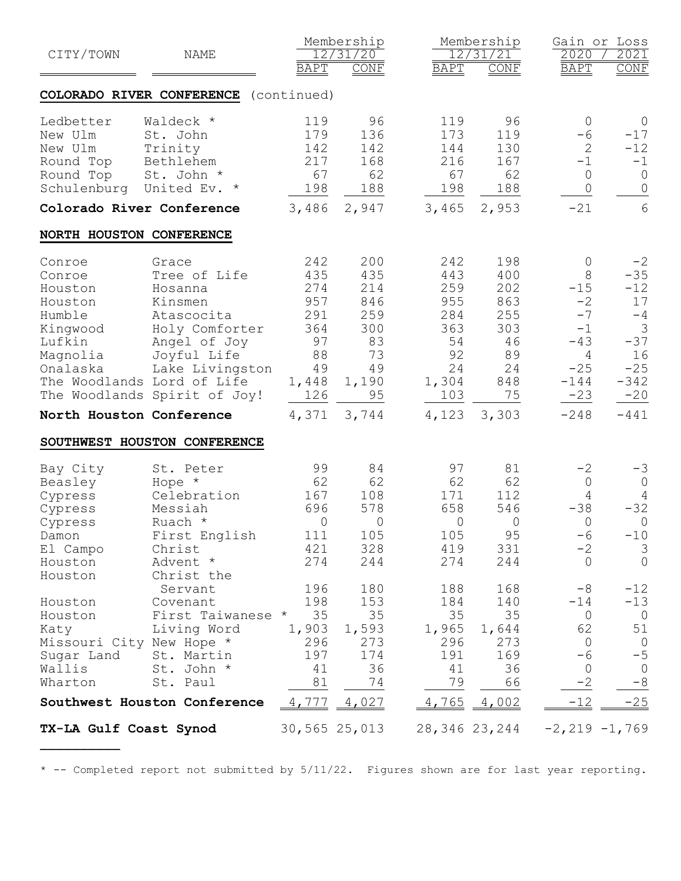| CITY/TOWN                 | NAME                                  | <b>BAPT</b> | Membership<br>12/31/20<br><b>CONF</b> | <b>BAPT</b>   | Membership<br>12/31/21<br>CONF | 2020<br><b>BAPT</b> | Gain or Loss<br>2021<br>CONF |
|---------------------------|---------------------------------------|-------------|---------------------------------------|---------------|--------------------------------|---------------------|------------------------------|
|                           | COLORADO RIVER CONFERENCE (continued) |             |                                       |               |                                |                     |                              |
|                           |                                       |             |                                       |               |                                |                     |                              |
| Ledbetter<br>New Ulm      | Waldeck *                             | 119<br>179  | 96<br>136                             | 119<br>173    | 96<br>119                      | $\circ$<br>$-6$     | $\overline{0}$<br>$-17$      |
| New Ulm                   | St. John<br>Trinity                   | 142         | 142                                   | 144           | 130                            | 2                   | $-12$                        |
| Round Top                 | Bethlehem                             | 217         | 168                                   | 216           | 167                            | $-1$                | $-1$                         |
| Round Top                 | St. John *                            | 67          | 62                                    | 67            | 62                             | $\overline{0}$      | $\overline{0}$               |
| Schulenburg               | United Ev. *                          | 198         | 188                                   | 198           | 188                            | $\overline{0}$      | $\circ$                      |
| Colorado River Conference |                                       | 3,486       | 2,947                                 | 3,465         | 2,953                          | $-21$               | 6                            |
| NORTH HOUSTON CONFERENCE  |                                       |             |                                       |               |                                |                     |                              |
| Conroe                    | Grace                                 | 242         | 200                                   | 242           | 198                            | $\overline{0}$      | $-2$                         |
| Conroe                    | Tree of Life                          | 435         | 435                                   | 443           | 400                            | 8                   | $-35$                        |
| Houston                   | Hosanna                               | 274         | 214                                   | 259           | 202                            | $-15$               | $-12$                        |
| Houston                   | Kinsmen                               | 957         | 846                                   | 955           | 863                            | $-2$                | 17                           |
| Humble                    | Atascocita                            | 291         | 259                                   | 284           | 255                            | $-7$                | $-4$                         |
| Kingwood                  | Holy Comforter                        | 364         | 300                                   | 363           | 303                            | $-1$                | 3                            |
| Lufkin                    | Angel of Joy                          | 97          | 83                                    | 54            | 46                             | $-43$               | $-37$                        |
| Magnolia                  | Joyful Life                           | 88          | 73                                    | 92            | 89                             | 4                   | 16                           |
| Onalaska                  | Lake Livingston                       | 49          | 49                                    | 24            | 24                             | $-25$               | $-25$                        |
|                           | The Woodlands Lord of Life            | 1,448       | 1,190                                 | 1,304         | 848                            | $-144$              | $-342$                       |
|                           | The Woodlands Spirit of Joy!          | 126         | 95                                    | 103           | 75                             | $-23$               | $-20$                        |
| North Houston Conference  |                                       | 4,371       | 3,744                                 |               | $4,123$ 3,303                  | $-248$              | $-441$                       |
|                           | SOUTHWEST HOUSTON CONFERENCE          |             |                                       |               |                                |                     |                              |
| Bay City                  | St. Peter                             | 99          | 84                                    | 97            | 81                             | $-2$                | $-3$                         |
| Beasley                   | Hope *                                | 62          | 62                                    | 62            | 62                             | $\circ$             | $\circ$                      |
| Cypress                   | Celebration                           | 167         | 108                                   | 171           | 112                            | $\overline{4}$      | $\overline{4}$               |
| Cypress                   | Messiah                               | 696         | 578                                   | 658           | 546                            | $-38$               | $-32$                        |
| Cypress                   | Ruach *                               | 0           | $\mathsf{O}$                          | $\mathsf{O}$  | 0                              | 0                   | $\overline{0}$               |
| Damon                     | First English                         | 111         | 105                                   | 105           | 95                             | $-6$                | $-10$                        |
| El Campo                  | Christ                                | 421         | 328                                   | 419           | 331                            | $-2$                | 3                            |
| Houston                   | Advent *                              | 274         | 244                                   | 274           | 244                            | $\overline{0}$      | $\overline{0}$               |
| Houston                   | Christ the                            |             |                                       |               |                                |                     |                              |
|                           | Servant                               | 196         | 180                                   | 188           | 168                            | $-8$                | $-12$                        |
| Houston                   | Covenant                              | 198         | 153                                   | 184           | 140                            | $-14$               | $-13$                        |
| Houston                   | First Taiwanese *                     | 35          | 35                                    | 35            | 35                             | $\circ$             | $\overline{0}$               |
| Katy                      | Living Word                           | 1,903       | 1,593                                 | 1,965         | 1,644                          | 62                  | 51                           |
| Missouri City New Hope *  |                                       | 296         | 273                                   | 296           | 273                            | $\overline{0}$      | $\overline{0}$               |
| Sugar Land                | St. Martin                            | 197         | 174                                   | 191           | 169                            | $-6$                | $-5$                         |
| Wallis                    | St. John *                            | 41          | 36                                    | 41            | 36                             | $\mathbf 0$         | $\overline{0}$               |
| Wharton                   | St. Paul                              | 81          | 74                                    | 79            | 66                             | $-2$                | $-8$                         |
|                           | Southwest Houston Conference          |             | $4,777$ $4,027$                       |               | $4,765$ $4,002$                | $-12$               | $-25$                        |
| TX-LA Gulf Coast Synod    |                                       |             | 30,565 25,013                         | 28,346 23,244 |                                | $-2, 219 -1, 769$   |                              |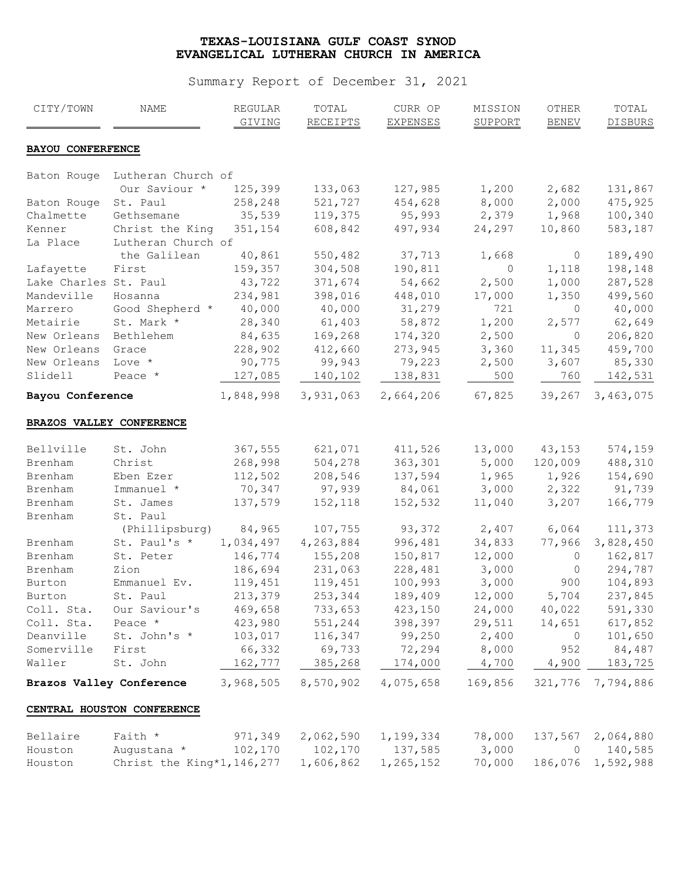| CITY/TOWN                | NAME                        | REGULAR<br>GIVING  | TOTAL<br><b>RECEIPTS</b> | CURR OP<br><b>EXPENSES</b> | MISSION<br><b>SUPPORT</b> | OTHER<br><b>BENEV</b> | TOTAL<br><b>DISBURS</b> |
|--------------------------|-----------------------------|--------------------|--------------------------|----------------------------|---------------------------|-----------------------|-------------------------|
| <b>BAYOU CONFERFENCE</b> |                             |                    |                          |                            |                           |                       |                         |
| Baton Rouge              | Lutheran Church of          |                    |                          |                            |                           |                       |                         |
|                          | Our Saviour *               | 125,399            | 133,063                  | 127,985                    | 1,200                     | 2,682                 | 131,867                 |
| Baton Rouge              | St. Paul                    | 258,248            | 521,727                  | 454,628                    | 8,000                     | 2,000                 | 475,925                 |
| Chalmette                | Gethsemane                  | 35,539             | 119,375                  | 95,993                     | 2,379                     | 1,968                 | 100,340                 |
| Kenner                   | Christ the King             | 351,154            | 608,842                  | 497,934                    | 24,297                    | 10,860                | 583,187                 |
| La Place                 | Lutheran Church of          |                    |                          |                            |                           |                       |                         |
|                          | the Galilean                | 40,861             | 550,482                  | 37,713                     | 1,668                     | $\circ$               | 189,490                 |
| Lafayette                | First                       | 159,357            | 304,508                  | 190,811                    | $\circ$                   | 1,118                 | 198,148                 |
| Lake Charles St. Paul    |                             | 43,722             | 371,674                  | 54,662                     | 2,500                     | 1,000                 | 287,528                 |
| Mandeville               | Hosanna                     | 234,981            | 398,016                  | 448,010                    | 17,000                    | 1,350                 | 499,560                 |
| Marrero                  | Good Shepherd *             | 40,000             | 40,000                   | 31,279                     | 721                       | $\circ$               | 40,000                  |
| Metairie                 | St. Mark *                  | 28,340             | 61,403                   | 58,872                     | 1,200                     | 2,577                 | 62,649                  |
| New Orleans              | Bethlehem                   | 84,635             | 169,268                  | 174,320                    | 2,500                     | $\circ$               | 206,820                 |
| New Orleans              | Grace                       | 228,902            | 412,660                  | 273,945                    | 3,360                     | 11,345                | 459,700                 |
| New Orleans              | Love *                      | 90,775             | 99,943                   | 79,223                     | 2,500                     | 3,607                 | 85,330                  |
| Slidell                  | Peace *                     | 127,085            | 140,102                  | 138,831                    | 500                       | 760                   | 142,531                 |
| Bayou Conference         |                             | 1,848,998          | 3,931,063                | 2,664,206                  | 67,825                    | 39,267                | 3,463,075               |
| Bellville                | St. John                    | 367,555            | 621,071                  | 411,526                    | 13,000                    | 43,153                | 574,159                 |
|                          |                             |                    |                          |                            |                           |                       |                         |
| Brenham                  | Christ<br>Eben Ezer         | 268,998<br>112,502 | 504,278                  | 363,301                    | 5,000                     | 120,009<br>1,926      | 488,310<br>154,690      |
| Brenham                  | Immanuel *                  | 70,347             | 208,546<br>97,939        | 137,594<br>84,061          | 1,965<br>3,000            | 2,322                 | 91,739                  |
| Brenham                  | St. James                   |                    | 152,118                  |                            |                           | 3,207                 | 166,779                 |
| Brenham<br>Brenham       | St. Paul                    | 137,579            |                          | 152,532                    | 11,040                    |                       |                         |
|                          | (Phillipsburg)              | 84,965             | 107,755                  | 93,372                     | 2,407                     | 6,064                 | 111,373                 |
|                          | St. Paul's *                | 1,034,497          | 4,263,884                | 996,481                    | 34,833                    | 77,966                | 3,828,450               |
| Brenham<br>Brenham       | St. Peter                   | 146,774            | 155,208                  | 150,817                    | 12,000                    | $\circ$               | 162,817                 |
| Brenham                  | Zion                        | 186,694            | 231,063                  | 228,481                    | 3,000                     | $\circ$               | 294,787                 |
| Burton                   | Emmanuel Ev.                | 119,451            | 119,451                  | 100,993                    | 3,000                     | 900                   | 104,893                 |
| Burton                   | St. Paul                    | 213,379            | 253,344                  | 189,409                    | 12,000                    | 5,704                 | 237,845                 |
| Coll. Sta.               | Our Saviour's               | 469,658            | 733,653                  | 423,150                    | 24,000                    | 40,022                | 591,330                 |
| Coll. Sta.               | Peace *                     | 423,980            | 551,244                  | 398,397                    | 29,511                    | 14,651                | 617,852                 |
| Deanville                | St. John's *                | 103,017            | 116,347                  | 99,250                     | 2,400                     | $\overline{0}$        | 101,650                 |
|                          | First                       |                    | 69,733                   | 72,294                     | 8,000                     |                       |                         |
| Somerville<br>Waller     | St. John                    | 66,332<br>162,777  | 385,268                  | 174,000                    | 4,700                     | 952<br>4,900          | 84,487<br>183,725       |
| Brazos Valley Conference |                             | 3,968,505          | 8,570,902                | 4,075,658                  | 169,856                   |                       | 321,776 7,794,886       |
|                          | CENTRAL HOUSTON CONFERENCE  |                    |                          |                            |                           |                       |                         |
| Bellaire                 | Faith *                     | 971,349            | 2,062,590                | 1,199,334                  | 78,000                    | 137,567               | 2,064,880               |
| Houston                  | Augustana *                 | 102,170            | 102,170                  | 137,585                    | 3,000                     | $\overline{0}$        | 140,585                 |
| Houston                  | Christ the King*1, 146, 277 |                    | 1,606,862                | 1,265,152                  | 70,000                    | 186,076               | 1,592,988               |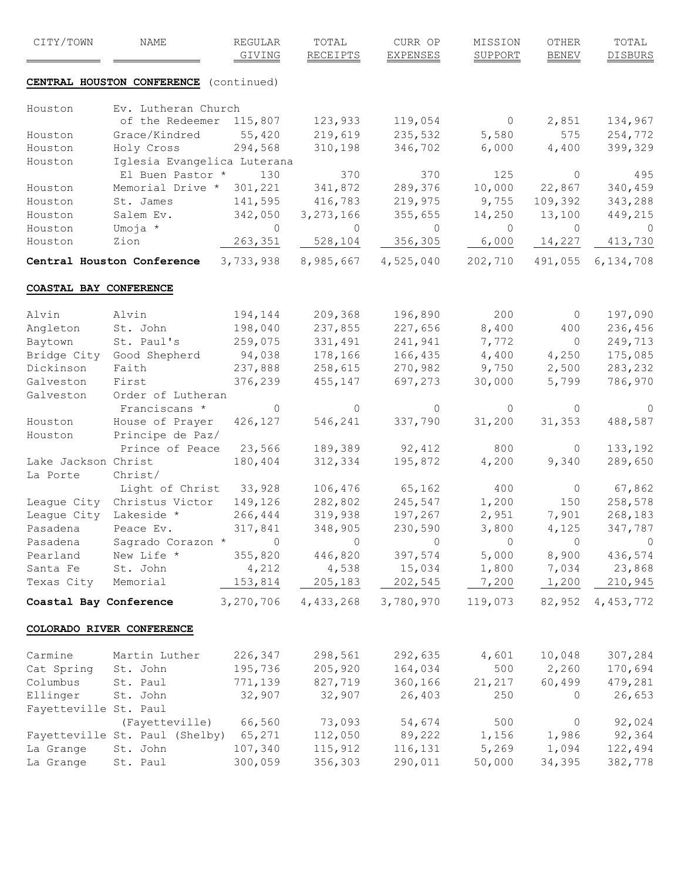| CITY/TOWN              | NAME                                   | <b>REGULAR</b><br>GIVING | TOTAL<br>RECEIPTS | CURR OP<br><b>EXPENSES</b> | MISSION<br><b>SUPPORT</b> | <b>OTHER</b><br><b>BENEV</b> | TOTAL<br><b>DISBURS</b> |
|------------------------|----------------------------------------|--------------------------|-------------------|----------------------------|---------------------------|------------------------------|-------------------------|
|                        | CENTRAL HOUSTON CONFERENCE (continued) |                          |                   |                            |                           |                              |                         |
|                        |                                        |                          |                   |                            |                           |                              |                         |
| Houston                | Ev. Lutheran Church<br>of the Redeemer | 115,807                  | 123,933           | 119,054                    | $\circ$                   | 2,851                        |                         |
|                        | Grace/Kindred                          | 55,420                   | 219,619           | 235,532                    | 5,580                     | 575                          | 134,967<br>254,772      |
| Houston<br>Houston     | Holy Cross                             | 294,568                  | 310,198           | 346,702                    | 6,000                     | 4,400                        | 399,329                 |
| Houston                | Iglesia Evangelica Luterana            |                          |                   |                            |                           |                              |                         |
|                        | El Buen Pastor *                       | 130                      | 370               | 370                        | 125                       | $\mathbf{0}$                 | 495                     |
| Houston                | Memorial Drive * 301,221               |                          | 341,872           | 289,376                    | 10,000                    | 22,867                       | 340,459                 |
| Houston                | St. James                              | 141,595                  | 416,783           | 219,975                    | 9,755                     | 109,392                      | 343,288                 |
| Houston                | Salem Ev.                              | 342,050                  | 3, 273, 166       | 355,655                    | 14,250                    | 13,100                       | 449,215                 |
| Houston                | Umoja *                                | $\circ$                  | $\circ$           | $\overline{0}$             | $\circ$                   | $\circ$                      | $\overline{0}$          |
| Houston                | Zion                                   | 263,351                  | 528,104           | 356,305                    | 6,000                     | 14,227                       | 413,730                 |
|                        | Central Houston Conference 3, 733, 938 |                          | 8,985,667         | 4,525,040                  | 202,710                   | 491,055                      | 6,134,708               |
| COASTAL BAY CONFERENCE |                                        |                          |                   |                            |                           |                              |                         |
|                        |                                        |                          |                   |                            |                           |                              |                         |
| Alvin                  | Alvin                                  | 194,144                  | 209,368           | 196,890                    | 200                       | $\circ$                      | 197,090                 |
| Angleton               | St. John                               | 198,040                  | 237,855           | 227,656                    | 8,400                     | 400                          | 236,456                 |
| Baytown                | St. Paul's                             | 259,075                  | 331,491           | 241,941                    | 7,772                     | $\overline{0}$               | 249,713                 |
|                        | Bridge City Good Shepherd              | 94,038                   | 178,166           | 166,435                    | 4,400                     | 4,250                        | 175,085                 |
| Dickinson              | Faith                                  | 237,888                  | 258,615           | 270,982                    | 9,750                     | 2,500                        | 283,232                 |
| Galveston              | First                                  | 376,239                  | 455,147           | 697,273                    | 30,000                    | 5,799                        | 786,970                 |
| Galveston              | Order of Lutheran                      |                          |                   |                            |                           |                              |                         |
|                        | Franciscans *                          | $\circ$                  | $\mathbf{0}$      | $\circ$                    | 0                         | $\circ$                      | $\circ$                 |
| Houston                | House of Prayer                        | 426,127                  | 546,241           | 337,790                    | 31,200                    | 31,353                       | 488,587                 |
| Houston                | Principe de Paz/                       |                          |                   |                            |                           |                              |                         |
|                        | Prince of Peace 23,566                 |                          | 189,389           | 92,412                     | 800                       | $\circ$                      | 133,192                 |
| Lake Jackson Christ    |                                        | 180,404                  | 312,334           | 195,872                    | 4,200                     | 9,340                        | 289,650                 |
| La Porte               | Christ/                                |                          |                   |                            |                           |                              |                         |
|                        | Light of Christ 33,928                 |                          | 106,476           | 65,162                     | 400                       | $\circ$                      | 67,862                  |
|                        | League City Christus Victor            | 149,126                  | 282,802           | 245,547                    | 1,200                     | 150                          | 258,578                 |
| League City Lakeside * |                                        | 266,444                  | 319,938           | 197,267                    | 2,951                     | 7,901                        | 268,183                 |
| Pasadena               | Peace Ev.                              | 317,841                  | 348,905           | 230,590                    | 3,800                     | 4,125                        | 347,787                 |
| Pasadena               | Sagrado Corazon * 0                    |                          | $\circ$           | $\circ$                    | $\circ$                   | $\circ$                      | $\overline{0}$          |
| Pearland               | New Life *                             | 355,820                  | 446,820           | 397,574                    | 5,000                     | 8,900                        | 436,574                 |
| Santa Fe               | St. John                               | 4,212                    | 4,538             | 15,034                     | 1,800                     | 7,034                        | 23,868                  |
| Texas City Memorial    |                                        | 153,814                  | 205, 183          | 202,545                    | 7,200                     | 1,200                        | 210,945                 |
|                        | Coastal Bay Conference                 | 3,270,706                | 4,433,268         | 3,780,970                  | 119,073                   |                              | 82,952 4,453,772        |
|                        | COLORADO RIVER CONFERENCE              |                          |                   |                            |                           |                              |                         |
| Carmine                | Martin Luther                          | 226,347                  | 298,561           | 292,635                    | 4,601                     | 10,048                       | 307,284                 |
| Cat Spring St. John    |                                        | 195,736                  | 205,920           | 164,034                    | 500                       | 2,260                        | 170,694                 |
| Columbus               | St. Paul                               | 771,139                  | 827,719           | 360,166                    | 21, 217                   | 60,499                       | 479,281                 |
| Ellinger St. John      |                                        | 32,907                   | 32,907            | 26,403                     | 250                       | $\circ$                      | 26,653                  |
| Fayetteville St. Paul  |                                        |                          |                   |                            |                           |                              |                         |
|                        | (Fayetteville) 66,560                  |                          | 73,093            | 54,674                     | 500                       | $\circ$                      | 92,024                  |
|                        | Fayetteville St. Paul (Shelby) 65,271  |                          | 112,050           | 89,222                     |                           | 1,156 1,986                  | 92,364                  |
| La Grange              | St. John                               | 107,340                  | 115,912           | 116,131                    | 5,269                     | 1,094                        | 122,494                 |
| La Grange              | St. Paul                               | 300,059                  | 356,303           | 290,011                    | 50,000                    | 34,395                       | 382,778                 |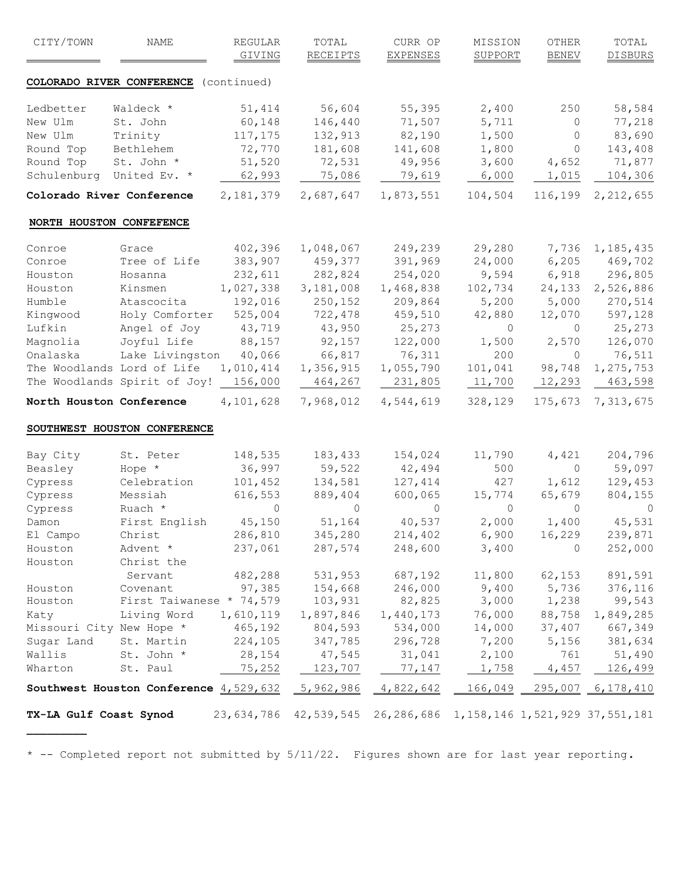| CITY/TOWN                  | NAME                                                        | <b>REGULAR</b><br>GIVING | TOTAL<br><b>RECEIPTS</b> | CURR OP<br><b>EXPENSES</b> | MISSION<br><b>SUPPORT</b> | OTHER<br><b>BENEV</b> | TOTAL<br><b>DISBURS</b>  |
|----------------------------|-------------------------------------------------------------|--------------------------|--------------------------|----------------------------|---------------------------|-----------------------|--------------------------|
|                            | COLORADO RIVER CONFERENCE (continued)                       |                          |                          |                            |                           |                       |                          |
| Ledbetter                  | Waldeck *                                                   | 51,414                   | 56,604                   | 55,395                     | 2,400                     | 250                   | 58,584                   |
| New Ulm                    | St. John                                                    | 60,148                   | 146,440                  | 71,507                     | 5,711                     | $\circ$               | 77,218                   |
| New Ulm                    | Trinity                                                     | 117,175                  | 132,913                  | 82,190                     | 1,500                     | $\circ$               | 83,690                   |
| Round Top                  | Bethlehem                                                   | 72,770                   | 181,608                  | 141,608                    | 1,800                     | $\circ$               | 143,408                  |
| Round Top                  | St. John *                                                  | 51,520                   | 72,531                   | 49,956                     | 3,600                     | 4,652                 | 71,877                   |
| Schulenburg United Ev. *   |                                                             | 62,993                   | 75,086                   | 79,619                     | 6,000                     | 1,015                 | 104,306                  |
| Colorado River Conference  |                                                             | 2, 181, 379              | 2,687,647                | 1,873,551                  | 104,504                   | 116,199               | 2, 212, 655              |
| NORTH HOUSTON CONFEFENCE   |                                                             |                          |                          |                            |                           |                       |                          |
| Conroe                     | Grace                                                       | 402,396                  | 1,048,067                | 249,239                    | 29,280                    | 7,736                 | 1, 185, 435              |
| Conroe                     | Tree of Life                                                | 383,907                  | 459,377                  | 391,969                    | 24,000                    | 6,205                 | 469,702                  |
| Houston                    | Hosanna                                                     | 232,611                  | 282,824                  | 254,020                    | 9,594                     | 6,918                 | 296,805                  |
| Houston                    | Kinsmen                                                     | 1,027,338                | 3,181,008                | 1,468,838                  | 102,734                   | 24,133                | 2,526,886                |
| Humble                     | Atascocita                                                  | 192,016                  | 250,152                  | 209,864                    | 5,200                     | 5,000                 | 270,514                  |
| Kingwood                   | Holy Comforter                                              | 525,004                  | 722,478                  | 459,510                    | 42,880                    | 12,070                | 597,128                  |
| Lufkin                     | Angel of Joy                                                | 43,719                   | 43,950                   | 25,273                     | $\circ$                   | $\circ$               | 25,273                   |
| Magnolia                   | Joyful Life                                                 | 88,157                   | 92,157                   | 122,000                    | 1,500                     | 2,570                 | 126,070                  |
| Onalaska                   | Lake Livingston                                             | 40,066                   | 66,817                   | 76,311                     | 200                       | $\circ$               | 76,511                   |
| The Woodlands Lord of Life |                                                             | 1,010,414                | 1,356,915                | 1,055,790                  | 101,041                   | 98,748                | 1, 275, 753              |
|                            | The Woodlands Spirit of Joy! 156,000                        |                          | 464,267                  | 231,805                    | 11,700                    | 12,293                | 463,598                  |
| North Houston Conference   |                                                             | 4,101,628                | 7,968,012                | 4,544,619                  | 328,129                   | 175,673               | 7,313,675                |
|                            | SOUTHWEST HOUSTON CONFERENCE                                |                          |                          |                            |                           |                       |                          |
| Bay City                   | St. Peter                                                   | 148,535                  | 183,433                  | 154,024                    | 11,790                    | 4,421                 | 204,796                  |
| Beasley                    | Hope *                                                      | 36,997                   | 59,522                   | 42,494                     | 500                       | $\circ$               | 59,097                   |
| Cypress                    | Celebration                                                 | 101,452                  | 134,581                  | 127,414                    | 427                       | 1,612                 | 129,453                  |
| Cypress                    | Messiah                                                     | 616,553                  | 889,404                  | 600,065                    | 15,774                    | 65,679                | 804,155                  |
| Cypress                    | Ruach *                                                     | $\circ$                  | $\Omega$                 | $\Omega$                   | $\Omega$                  | $\Omega$              | $\Omega$                 |
| Damon                      | First English                                               | 45,150                   | 51,164                   | 40,537                     | 2,000                     | 1,400                 | 45,531                   |
| El Campo                   | Christ                                                      | 286,810                  | 345,280                  | 214,402                    | 6,900                     | 16,229                | 239,871                  |
| Houston                    | Advent *                                                    | 237,061                  | 287,574                  | 248,600                    | 3,400                     | $\mathbf{0}$          | 252,000                  |
| Houston                    | Christ the                                                  |                          |                          |                            |                           |                       |                          |
|                            | Servant                                                     | 482,288                  | 531,953                  | 687,192                    | 11,800                    | 62,153                | 891,591                  |
| Houston                    | Covenant                                                    | 97,385                   | 154,668                  | 246,000                    | 9,400                     | 5,736                 | 376,116                  |
| Houston                    | First Taiwanese * 74,579                                    |                          | 103,931                  | 82,825                     | 3,000                     | 1,238                 | 99,543                   |
| Katy                       | Living Word                                                 | 1,610,119                | 1,897,846                | 1,440,173                  | 76,000                    | 88,758                | 1,849,285                |
| Missouri City New Hope *   |                                                             | 465,192                  | 804,593                  | 534,000                    | 14,000                    | 37,407                | 667,349                  |
| Sugar Land                 | St. Martin                                                  | 224,105                  | 347,785                  | 296,728                    | 7,200                     | 5,156                 | 381,634                  |
| Wallis                     | St. John *                                                  | 28,154                   | 47,545                   | 31,041                     | 2,100                     | 761                   | 51,490                   |
| Wharton                    | St. Paul                                                    | 75,252                   | 123,707                  | 77,147                     | 1,758                     | 4,457                 | 126,499                  |
|                            | <b>Southwest Houston Conference</b> $4,529,632$ $5,962,986$ |                          |                          | 4,822,642                  | $166,049$ $-$             |                       | <u>295,007 6,178,410</u> |
|                            |                                                             |                          |                          |                            |                           |                       |                          |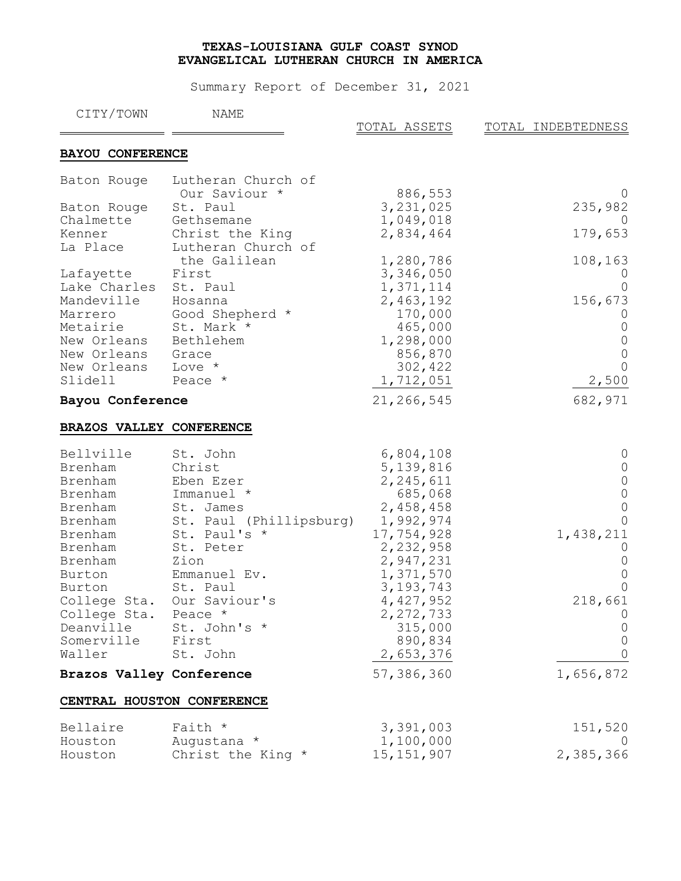| CITY/TOWN                | <b>NAME</b>                | TOTAL ASSETS | TOTAL INDEBTEDNESS |
|--------------------------|----------------------------|--------------|--------------------|
| <b>BAYOU CONFERENCE</b>  |                            |              |                    |
| Baton Rouge              | Lutheran Church of         |              |                    |
|                          | Our Saviour *              | 886,553      |                    |
| Baton Rouge              | St. Paul                   | 3, 231, 025  | 235,982            |
| Chalmette                | Gethsemane                 | 1,049,018    |                    |
| Kenner                   | Christ the King            | 2,834,464    | 179,653            |
| La Place                 | Lutheran Church of         |              |                    |
|                          | the Galilean               | 1,280,786    | 108,163            |
| Lafayette                | First                      | 3,346,050    |                    |
| Lake Charles             | St. Paul                   | 1,371,114    |                    |
| Mandeville               | Hosanna                    | 2,463,192    | 156,673            |
| Marrero                  | Good Shepherd *            | 170,000      |                    |
| Metairie                 | St. Mark *                 | 465,000      |                    |
| New Orleans              | Bethlehem                  | 1,298,000    |                    |
| New Orleans              | Grace                      | 856,870      |                    |
| New Orleans              | Love *                     | 302,422      |                    |
| Slidell                  | Peace *                    | 1,712,051    | 2,500              |
|                          |                            |              |                    |
| Bayou Conference         |                            | 21,266,545   | 682,971            |
|                          |                            |              |                    |
| BRAZOS VALLEY CONFERENCE |                            |              |                    |
| Bellville                | St. John                   | 6,804,108    |                    |
| Brenham                  | Christ                     | 5, 139, 816  |                    |
| Brenham                  | Eben Ezer                  | 2, 245, 611  |                    |
| Brenham                  | Immanuel *                 | 685,068      |                    |
| Brenham                  | St. James                  | 2,458,458    |                    |
| Brenham                  | St. Paul (Phillipsburg)    | 1,992,974    |                    |
| Brenham                  | St. Paul's *               | 17,754,928   | 1,438,211          |
| Brenham                  | St. Peter                  | 2,232,958    |                    |
| Brenham                  | Zion                       | 2,947,231    |                    |
| Burton                   | Emmanuel Ev.               | 1,371,570    |                    |
| Burton                   | St. Paul                   | 3, 193, 743  |                    |
| College Sta.             | Our Saviour's              | 4,427,952    | 218,661            |
| College Sta.             | Peace *                    | 2, 272, 733  |                    |
| Deanville                | St. John's *               | 315,000      |                    |
| Somerville               | First                      | 890,834      |                    |
| Waller                   | St. John                   | 2,653,376    |                    |
| Brazos Valley Conference |                            | 57,386,360   | 1,656,872          |
|                          | CENTRAL HOUSTON CONFERENCE |              |                    |
| Bellaire                 | Faith *                    | 3,391,003    | 151,520            |
| Houston                  | Augustana *                | 1,100,000    |                    |
| Houston                  | Christ the King *          | 15, 151, 907 | 2,385,366          |
|                          |                            |              |                    |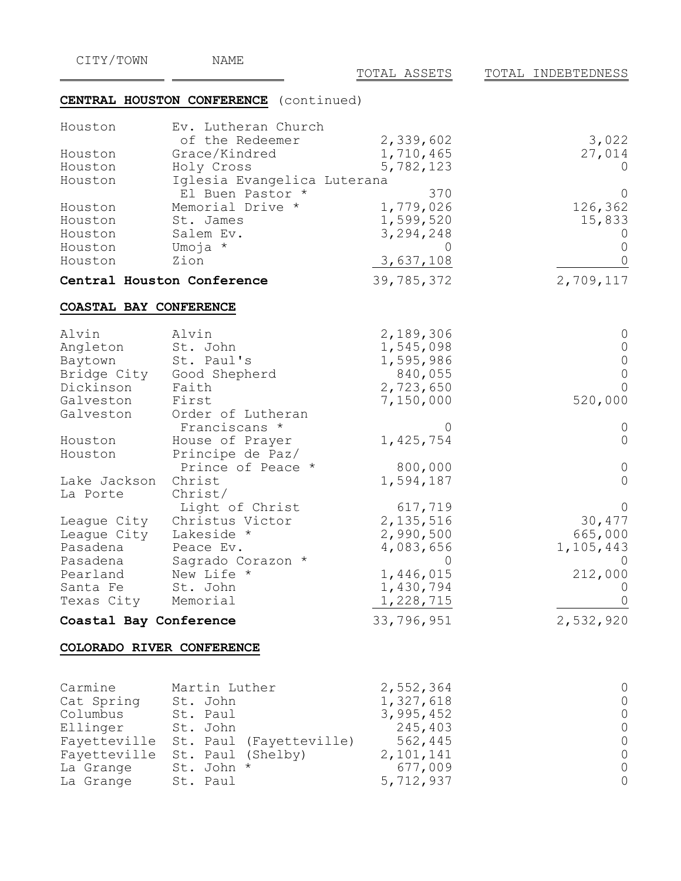| CITY/TOWN                 | NAME                                            | TOTAL ASSETS           | TOTAL INDEBTEDNESS |
|---------------------------|-------------------------------------------------|------------------------|--------------------|
|                           | CENTRAL HOUSTON CONFERENCE (continued)          |                        |                    |
|                           |                                                 |                        |                    |
| Houston                   | Ev. Lutheran Church<br>of the Redeemer          |                        |                    |
| Houston                   | Grace/Kindred                                   | 2,339,602              | 3,022              |
|                           |                                                 | 1,710,465              | 27,014             |
| Houston<br>Houston        | Holy Cross                                      | 5,782,123              |                    |
|                           | Iglesia Evangelica Luterana<br>El Buen Pastor * | 370                    |                    |
| Houston                   | Memorial Drive *                                | 1,779,026              | 126,362            |
| Houston                   | St. James                                       | 1,599,520              |                    |
| Houston                   | Salem Ev.                                       |                        | 15,833             |
| Houston                   | Umoja *                                         | 3,294,248<br>$\bigcap$ |                    |
| Houston                   | Zion                                            |                        |                    |
|                           |                                                 | 3,637,108              |                    |
|                           | Central Houston Conference                      | 39,785,372             | 2,709,117          |
| COASTAL BAY CONFERENCE    |                                                 |                        |                    |
| Alvin                     | Alvin                                           | 2,189,306              |                    |
| Angleton                  | St. John                                        | 1,545,098              |                    |
| Baytown                   | St. Paul's                                      | 1,595,986              |                    |
| Bridge City               | Good Shepherd                                   | 840,055                |                    |
| Dickinson                 | Faith                                           | 2,723,650              |                    |
| Galveston                 | First                                           | 7,150,000              | 520,000            |
| Galveston                 | Order of Lutheran                               |                        |                    |
|                           | Franciscans *                                   | 0                      |                    |
| Houston                   | House of Prayer                                 | 1,425,754              |                    |
| Houston                   | Principe de Paz/                                |                        |                    |
|                           | Prince of Peace *                               | 800,000                |                    |
| Lake Jackson              | Christ                                          | 1,594,187              |                    |
| La Porte                  | Christ/                                         |                        |                    |
|                           | Light of Christ                                 | 617,719                |                    |
| League City               | Christus Victor                                 | 2, 135, 516            | 30,477             |
| League City               | Lakeside *                                      | 2,990,500              | 665,000            |
| Pasadena                  | Peace Ev.                                       | 4,083,656              | 1, 105, 443        |
| Pasadena                  | Sagrado Corazon *                               | 0                      |                    |
| Pearland                  | New Life *                                      | 1,446,015              | 212,000            |
| Santa Fe                  | St. John                                        | 1,430,794              |                    |
| Texas City                | Memorial                                        | 1,228,715              |                    |
| Coastal Bay Conference    |                                                 | 33,796,951             | 2,532,920          |
| COLORADO RIVER CONFERENCE |                                                 |                        |                    |
|                           |                                                 |                        |                    |
| Carmine                   | Martin Luther                                   | 2,552,364              |                    |
| Cat Spring                | St. John                                        | 1,327,618              |                    |
| Columbus                  | St. Paul                                        | 3,995,452              |                    |
| Ellinger                  | St. John                                        | 245,403                |                    |
| Fayetteville              | St. Paul (Fayetteville)                         | 562,445                |                    |
| Fayetteville              | St. Paul (Shelby)                               | 2,101,141              |                    |
| La Grange                 | St. John *                                      | 677,009                |                    |
| La Grange                 | St. Paul                                        | 5,712,937              |                    |
|                           |                                                 |                        |                    |